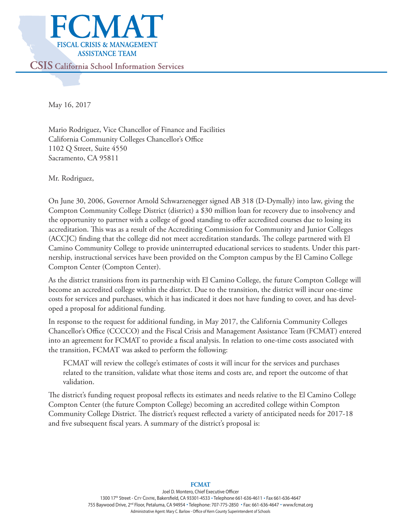

May 16, 2017

Mario Rodriguez, Vice Chancellor of Finance and Facilities California Community Colleges Chancellor's Office 1102 Q Street, Suite 4550 Sacramento, CA 95811

Mr. Rodriguez,

On June 30, 2006, Governor Arnold Schwarzenegger signed AB 318 (D-Dymally) into law, giving the Compton Community College District (district) a \$30 million loan for recovery due to insolvency and the opportunity to partner with a college of good standing to offer accredited courses due to losing its accreditation. This was as a result of the Accrediting Commission for Community and Junior Colleges (ACCJC) finding that the college did not meet accreditation standards. The college partnered with El Camino Community College to provide uninterrupted educational services to students. Under this partnership, instructional services have been provided on the Compton campus by the El Camino College Compton Center (Compton Center).

As the district transitions from its partnership with El Camino College, the future Compton College will become an accredited college within the district. Due to the transition, the district will incur one-time costs for services and purchases, which it has indicated it does not have funding to cover, and has developed a proposal for additional funding.

In response to the request for additional funding, in May 2017, the California Community Colleges Chancellor's Office (CCCCO) and the Fiscal Crisis and Management Assistance Team (FCMAT) entered into an agreement for FCMAT to provide a fiscal analysis. In relation to one-time costs associated with the transition, FCMAT was asked to perform the following:

FCMAT will review the college's estimates of costs it will incur for the services and purchases related to the transition, validate what those items and costs are, and report the outcome of that validation.

The district's funding request proposal reflects its estimates and needs relative to the El Camino College Compton Center (the future Compton College) becoming an accredited college within Compton Community College District. The district's request reflected a variety of anticipated needs for 2017-18 and five subsequent fiscal years. A summary of the district's proposal is:

#### Joel D. Montero, Chief Executive Officer 1300 17th Street - CITY CENTRE, Bakersfield, CA 93301-4533 · Telephone 661-636-4611 · Fax 661-636-4647 755 Baywood Drive, 2<sup>nd</sup> Floor, Petaluma, CA 94954 . Telephone: 707-775-2850 . Fax: 661-636-4647 . www.fcmat.org Administrative Agent: Mary C. Barlow - Office of Kern County Superintendent of Schools

#### **FCMAT**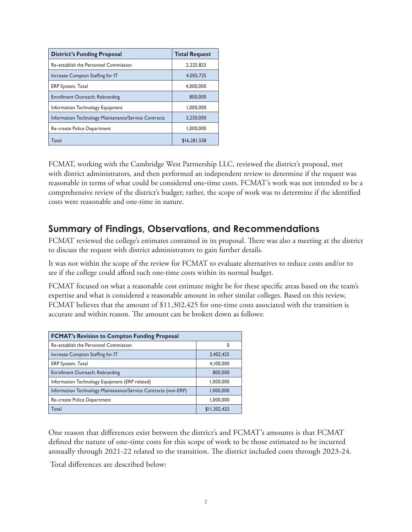| <b>District's Funding Proposal</b>                   | <b>Total Request</b> |
|------------------------------------------------------|----------------------|
| Re-establish the Personnel Commission                | 2.225.823            |
| Increase Compton Staffing for IT                     | 4,005,735            |
| <b>ERP</b> System, Total                             | 4.000.000            |
| Enrollment Outreach; Rebranding                      | 800,000              |
| Information Technology Equipment                     | 1,000,000            |
| Information Technology Maintenance/Service Contracts | 3,250,000            |
| Re-create Police Department                          | 1.000.000            |
| Total                                                | \$16,281,558         |

FCMAT, working with the Cambridge West Partnership LLC, reviewed the district's proposal, met with district administrators, and then performed an independent review to determine if the request was reasonable in terms of what could be considered one-time costs. FCMAT's work was not intended to be a comprehensive review of the district's budget; rather, the scope of work was to determine if the identified costs were reasonable and one-time in nature.

# **Summary of Findings, Observations, and Recommendations**

FCMAT reviewed the college's estimates contained in its proposal. There was also a meeting at the district to discuss the request with district administrators to gain further details.

It was not within the scope of the review for FCMAT to evaluate alternatives to reduce costs and/or to see if the college could afford such one-time costs within its normal budget.

FCMAT focused on what a reasonable cost estimate might be for these specific areas based on the team's expertise and what is considered a reasonable amount in other similar colleges. Based on this review, FCMAT believes that the amount of \$11,302,425 for one-time costs associated with the transition is accurate and within reason. The amount can be broken down as follows:

| <b>FCMAT's Revision to Compton Funding Proposal</b>            |              |  |
|----------------------------------------------------------------|--------------|--|
| Re-establish the Personnel Commission                          | 0            |  |
| Increase Compton Staffing for IT                               | 3,402,425    |  |
| ERP System, Total                                              | 4,100,000    |  |
| Enrollment Outreach; Rebranding                                | 800,000      |  |
| Information Technology Equipment (ERP related)                 | 1,000,000    |  |
| Information Technology Maintenance/Service Contracts (non-ERP) | 1,000,000    |  |
| Re-create Police Department                                    | 1,000,000    |  |
| Total                                                          | \$11,302,425 |  |

One reason that differences exist between the district's and FCMAT's amounts is that FCMAT defined the nature of one-time costs for this scope of work to be those estimated to be incurred annually through 2021-22 related to the transition. The district included costs through 2023-24.

Total differences are described below: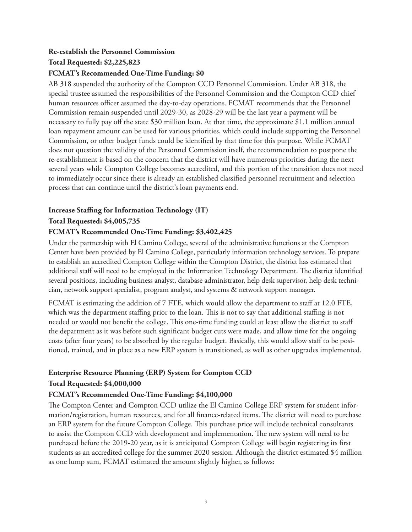# **Re-establish the Personnel Commission**

### **Total Requested: \$2,225,823**

### **FCMAT's Recommended One-Time Funding: \$0**

AB 318 suspended the authority of the Compton CCD Personnel Commission. Under AB 318, the special trustee assumed the responsibilities of the Personnel Commission and the Compton CCD chief human resources officer assumed the day-to-day operations. FCMAT recommends that the Personnel Commission remain suspended until 2029-30, as 2028-29 will be the last year a payment will be necessary to fully pay off the state \$30 million loan. At that time, the approximate \$1.1 million annual loan repayment amount can be used for various priorities, which could include supporting the Personnel Commission, or other budget funds could be identified by that time for this purpose. While FCMAT does not question the validity of the Personnel Commission itself, the recommendation to postpone the re-establishment is based on the concern that the district will have numerous priorities during the next several years while Compton College becomes accredited, and this portion of the transition does not need to immediately occur since there is already an established classified personnel recruitment and selection process that can continue until the district's loan payments end.

# **Increase Staffing for Information Technology (IT)**

### **Total Requested: \$4,005,735**

### **FCMAT's Recommended One-Time Funding: \$3,402,425**

Under the partnership with El Camino College, several of the administrative functions at the Compton Center have been provided by El Camino College, particularly information technology services. To prepare to establish an accredited Compton College within the Compton District, the district has estimated that additional staff will need to be employed in the Information Technology Department. The district identified several positions, including business analyst, database administrator, help desk supervisor, help desk technician, network support specialist, program analyst, and systems & network support manager.

FCMAT is estimating the addition of 7 FTE, which would allow the department to staff at 12.0 FTE, which was the department staffing prior to the loan. This is not to say that additional staffing is not needed or would not benefit the college. This one-time funding could at least allow the district to staff the department as it was before such significant budget cuts were made, and allow time for the ongoing costs (after four years) to be absorbed by the regular budget. Basically, this would allow staff to be positioned, trained, and in place as a new ERP system is transitioned, as well as other upgrades implemented.

# **Enterprise Resource Planning (ERP) System for Compton CCD Total Requested: \$4,000,000**

### **FCMAT's Recommended One-Time Funding: \$4,100,000**

The Compton Center and Compton CCD utilize the El Camino College ERP system for student information/registration, human resources, and for all finance-related items. The district will need to purchase an ERP system for the future Compton College. This purchase price will include technical consultants to assist the Compton CCD with development and implementation. The new system will need to be purchased before the 2019-20 year, as it is anticipated Compton College will begin registering its first students as an accredited college for the summer 2020 session. Although the district estimated \$4 million as one lump sum, FCMAT estimated the amount slightly higher, as follows: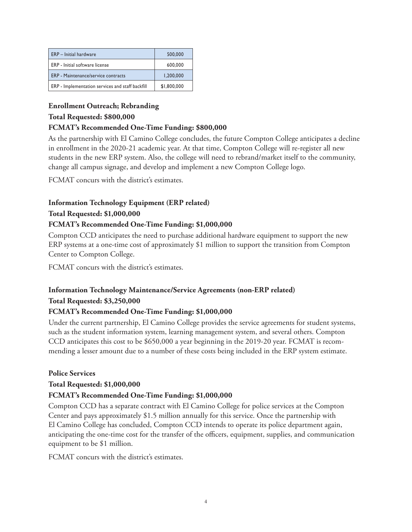| <b>ERP</b> - Initial hardware                    | 500,000     |
|--------------------------------------------------|-------------|
| ERP - Initial software license                   | 600,000     |
| ERP - Maintenance/service contracts              | 1.200.000   |
| ERP - Implementation services and staff backfill | \$1,800,000 |

#### **Enrollment Outreach; Rebranding**

#### **Total Requested: \$800,000**

#### **FCMAT's Recommended One-Time Funding: \$800,000**

As the partnership with El Camino College concludes, the future Compton College anticipates a decline in enrollment in the 2020-21 academic year. At that time, Compton College will re-register all new students in the new ERP system. Also, the college will need to rebrand/market itself to the community, change all campus signage, and develop and implement a new Compton College logo.

FCMAT concurs with the district's estimates.

### **Information Technology Equipment (ERP related)**

#### **Total Requested: \$1,000,000**

#### **FCMAT's Recommended One-Time Funding: \$1,000,000**

Compton CCD anticipates the need to purchase additional hardware equipment to support the new ERP systems at a one-time cost of approximately \$1 million to support the transition from Compton Center to Compton College.

FCMAT concurs with the district's estimates.

### **Information Technology Maintenance/Service Agreements (non-ERP related) Total Requested: \$3,250,000**

#### **FCMAT's Recommended One-Time Funding: \$1,000,000**

Under the current partnership, El Camino College provides the service agreements for student systems, such as the student information system, learning management system, and several others. Compton CCD anticipates this cost to be \$650,000 a year beginning in the 2019-20 year. FCMAT is recommending a lesser amount due to a number of these costs being included in the ERP system estimate.

#### **Police Services**

#### **Total Requested: \$1,000,000**

#### **FCMAT's Recommended One-Time Funding: \$1,000,000**

Compton CCD has a separate contract with El Camino College for police services at the Compton Center and pays approximately \$1.5 million annually for this service. Once the partnership with El Camino College has concluded, Compton CCD intends to operate its police department again, anticipating the one-time cost for the transfer of the officers, equipment, supplies, and communication equipment to be \$1 million.

FCMAT concurs with the district's estimates.